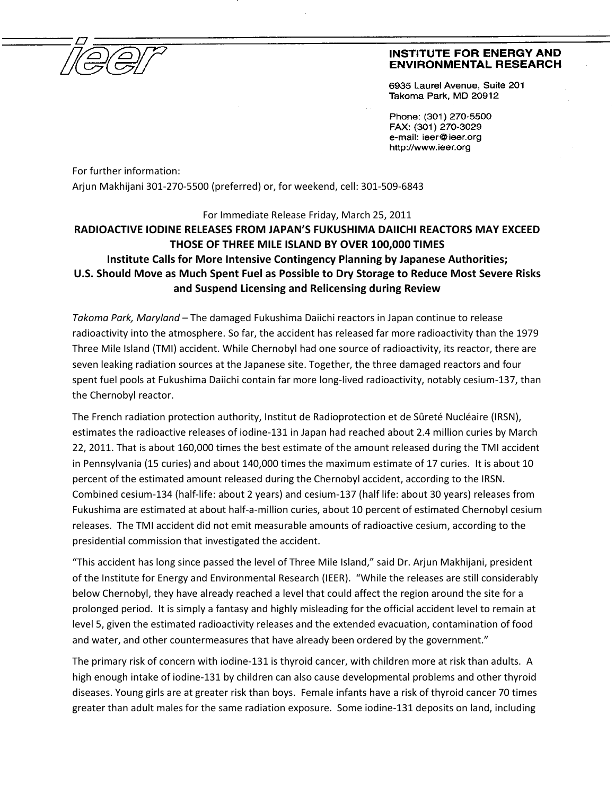

## **INSTITUTE FOR ENERGY AND ENVIRONMENTAL RESEARCH**

6935 Laurel Avenue. Suite 201 Takoma Park, MD 20912

Phone: (301) 270-5500 FAX: (301) 270-3029 e-mail: ieer@ieer.org http://www.ieer.org

For further information: Arjun Makhijani 301-270-5500 (preferred) or, for weekend, cell: 301-509-6843

For Immediate Release Friday, March 25, 2011

## **RADIOACTIVE IODINE RELEASES FROM JAPAN'S FUKUSHIMA DAIICHI REACTORS MAY EXCEED THOSE OF THREE MILE ISLAND BY OVER 100,000 TIMES Institute Calls for More Intensive Contingency Planning by Japanese Authorities; U.S. Should Move as Much Spent Fuel as Possible to Dry Storage to Reduce Most Severe Risks and Suspend Licensing and Relicensing during Review**

*Takoma Park, Maryland* – The damaged Fukushima Daiichi reactors in Japan continue to release radioactivity into the atmosphere. So far, the accident has released far more radioactivity than the 1979 Three Mile Island (TMI) accident. While Chernobyl had one source of radioactivity, its reactor, there are seven leaking radiation sources at the Japanese site. Together, the three damaged reactors and four spent fuel pools at Fukushima Daiichi contain far more long-lived radioactivity, notably cesium-137, than the Chernobyl reactor.

The French radiation protection authority, Institut de Radioprotection et de Sûreté Nucléaire (IRSN), estimates the radioactive releases of iodine-131 in Japan had reached about 2.4 million curies by March 22, 2011. That is about 160,000 times the best estimate of the amount released during the TMI accident in Pennsylvania (15 curies) and about 140,000 times the maximum estimate of 17 curies. It is about 10 percent of the estimated amount released during the Chernobyl accident, according to the IRSN. Combined cesium-134 (half-life: about 2 years) and cesium-137 (half life: about 30 years) releases from Fukushima are estimated at about half-a-million curies, about 10 percent of estimated Chernobyl cesium releases. The TMI accident did not emit measurable amounts of radioactive cesium, according to the presidential commission that investigated the accident.

"This accident has long since passed the level of Three Mile Island," said Dr. Arjun Makhijani, president of the Institute for Energy and Environmental Research (IEER). "While the releases are still considerably below Chernobyl, they have already reached a level that could affect the region around the site for a prolonged period. It is simply a fantasy and highly misleading for the official accident level to remain at level 5, given the estimated radioactivity releases and the extended evacuation, contamination of food and water, and other countermeasures that have already been ordered by the government."

The primary risk of concern with iodine-131 is thyroid cancer, with children more at risk than adults. A high enough intake of iodine-131 by children can also cause developmental problems and other thyroid diseases. Young girls are at greater risk than boys. Female infants have a risk of thyroid cancer 70 times greater than adult males for the same radiation exposure. Some iodine-131 deposits on land, including